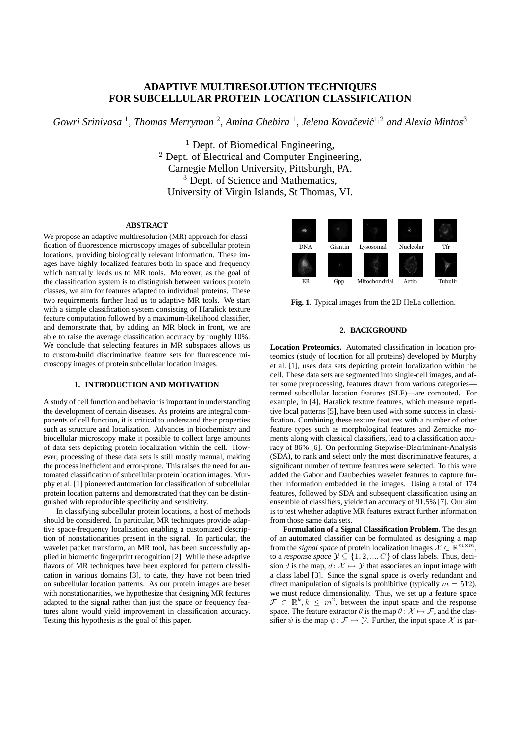# **ADAPTIVE MULTIRESOLUTION TECHNIQUES FOR SUBCELLULAR PROTEIN LOCATION CLASSIFICATION**

*Gowri Srinivasa* <sup>1</sup> *, Thomas Merryman* <sup>2</sup> *, Amina Chebira* <sup>1</sup> *, Jelena Kovacevi ˇ c´* <sup>1</sup>,<sup>2</sup> *and Alexia Mintos*<sup>3</sup>

 $<sup>1</sup>$  Dept. of Biomedical Engineering,</sup> <sup>2</sup> Dept. of Electrical and Computer Engineering, Carnegie Mellon University, Pittsburgh, PA. <sup>3</sup> Dept. of Science and Mathematics, University of Virgin Islands, St Thomas, VI.

#### **ABSTRACT**

We propose an adaptive multiresolution (MR) approach for classification of fluorescence microscopy images of subcellular protein locations, providing biologically relevant information. These images have highly localized features both in space and frequency which naturally leads us to MR tools. Moreover, as the goal of the classification system is to distinguish between various protein classes, we aim for features adapted to individual proteins. These two requirements further lead us to adaptive MR tools. We start with a simple classification system consisting of Haralick texture feature computation followed by a maximum-likelihood classifier, and demonstrate that, by adding an MR block in front, we are able to raise the average classification accuracy by roughly 10%. We conclude that selecting features in MR subspaces allows us to custom-build discriminative feature sets for fluorescence microscopy images of protein subcellular location images.

#### **1. INTRODUCTION AND MOTIVATION**

A study of cell function and behavior is important in understanding the development of certain diseases. As proteins are integral components of cell function, it is critical to understand their properties such as structure and localization. Advances in biochemistry and biocellular microscopy make it possible to collect large amounts of data sets depicting protein localization within the cell. However, processing of these data sets is still mostly manual, making the process inefficient and error-prone. This raises the need for automated classification of subcellular protein location images. Murphy et al. [1] pioneered automation for classification of subcellular protein location patterns and demonstrated that they can be distinguished with reproducible specificity and sensitivity.

In classifying subcellular protein locations, a host of methods should be considered. In particular, MR techniques provide adaptive space-frequency localization enabling a customized description of nonstationarities present in the signal. In particular, the wavelet packet transform, an MR tool, has been successfully applied in biometric fingerprint recognition [2]. While these adaptive flavors of MR techniques have been explored for pattern classification in various domains [3], to date, they have not been tried on subcellular location patterns. As our protein images are beset with nonstationarities, we hypothesize that designing MR features adapted to the signal rather than just the space or frequency features alone would yield improvement in classification accuracy. Testing this hypothesis is the goal of this paper.



**Fig. 1**. Typical images from the 2D HeLa collection.

## **2. BACKGROUND**

**Location Proteomics.** Automated classification in location proteomics (study of location for all proteins) developed by Murphy et al. [1], uses data sets depicting protein localization within the cell. These data sets are segmented into single-cell images, and after some preprocessing, features drawn from various categories termed subcellular location features (SLF)—are computed. For example, in [4], Haralick texture features, which measure repetitive local patterns [5], have been used with some success in classification. Combining these texture features with a number of other feature types such as morphological features and Zernicke moments along with classical classifiers, lead to a classification accuracy of 86% [6]. On performing Stepwise-Discriminant-Analysis (SDA), to rank and select only the most discriminative features, a significant number of texture features were selected. To this were added the Gabor and Daubechies wavelet features to capture further information embedded in the images. Using a total of 174 features, followed by SDA and subsequent classification using an ensemble of classifiers, yielded an accuracy of 91.5% [7]. Our aim is to test whether adaptive MR features extract further information from those same data sets.

**Formulation of a Signal Classification Problem.** The design of an automated classifier can be formulated as designing a map from the *signal space* of protein localization images  $\mathcal{X} \subset \mathbb{R}^{m \times m}$ , to a *response space*  $\mathcal{Y} \subseteq \{1, 2, ..., C\}$  of class labels. Thus, decision d is the map,  $d: \mathcal{X} \mapsto \mathcal{Y}$  that associates an input image with a class label [3]. Since the signal space is overly redundant and direct manipulation of signals is prohibitive (typically  $m = 512$ ), we must reduce dimensionality. Thus, we set up a feature space  $\mathcal{F} \subset \mathbb{R}^k, k \leq m^2$ , between the input space and the response space. The feature extractor  $\theta$  is the map  $\theta: \mathcal{X} \mapsto \mathcal{F}$ , and the classifier  $\psi$  is the map  $\psi \colon \mathcal{F} \mapsto \mathcal{Y}$ . Further, the input space X is par-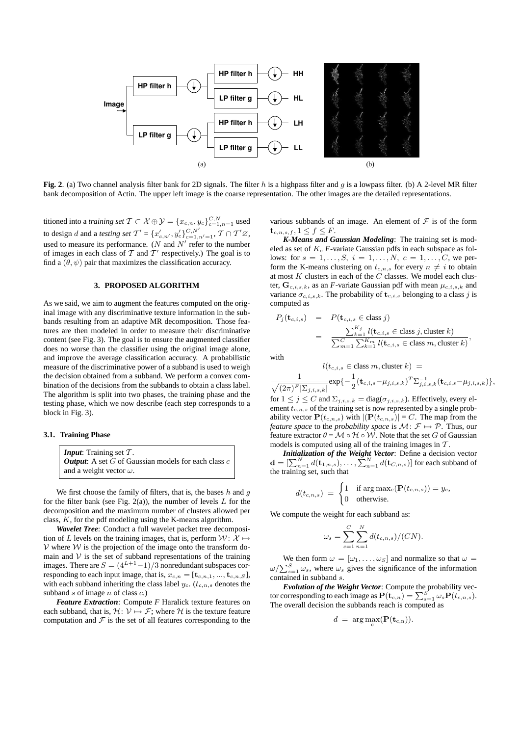

**Fig. 2**. (a) Two channel analysis filter bank for 2D signals. The filter h is a highpass filter and g is a lowpass filter. (b) A 2-level MR filter bank decomposition of Actin. The upper left image is the coarse representation. The other images are the detailed representations.

titioned into a *training set T* ⊂  $\mathcal{X} \oplus \mathcal{Y} = \{x_{c,n}, y_c\}_{c=1,n=1}^{C,N}$  used to design d and a *testing set*  $T' = {x'_{c,n'}}, y'_c}_{c=1,n'=1}^{C,N'}$ ,  $T \cap T' \varnothing$ , used to measure its performance. ( $N$  and  $N'$  refer to the number of images in each class of  $T$  and  $T'$  respectively.) The goal is to find a  $(\theta, \psi)$  pair that maximizes the classification accuracy.

#### **3. PROPOSED ALGORITHM**

As we said, we aim to augment the features computed on the original image with any discriminative texture information in the subbands resulting from an adaptive MR decomposition. Those features are then modeled in order to measure their discriminative content (see Fig. 3). The goal is to ensure the augmented classifier does no worse than the classifier using the original image alone, and improve the average classification accuracy. A probabilistic measure of the discriminative power of a subband is used to weigh the decision obtained from a subband. We perform a convex combination of the decisions from the subbands to obtain a class label. The algorithm is split into two phases, the training phase and the testing phase, which we now describe (each step corresponds to a block in Fig. 3).

#### **3.1. Training Phase**

*Input*: Training set  $T$ . *Output*: A set  $G$  of Gaussian models for each class  $c$ and a weight vector  $\omega$ .

We first choose the family of filters, that is, the bases  $h$  and  $q$ for the filter bank (see Fig. 2(a)), the number of levels  $L$  for the decomposition and the maximum number of clusters allowed per class,  $K$ , for the pdf modeling using the K-means algorithm.

*Wavelet Tree*: Conduct a full wavelet packet tree decomposition of L levels on the training images, that is, perform  $W: \mathcal{X} \mapsto$  $V$  where  $W$  is the projection of the image onto the transform domain and  $V$  is the set of subband representations of the training images. There are  $S = (4^{L+1}-1)/3$  nonredundant subspaces corresponding to each input image, that is,  $x_{c,n} = [\mathbf{t}_{c,n,1},...,\mathbf{t}_{c,n,S}]$ , with each subband inheriting the class label  $y_c$ . ( $t_{c,n,s}$  denotes the subband  $s$  of image  $n$  of class  $c$ .)

*Feature Extraction*: Compute *F* Haralick texture features on each subband, that is,  $\mathcal{H}: \mathcal{V} \mapsto \mathcal{F}$ ; where  $\mathcal{H}$  is the texture feature computation and  $\mathcal F$  is the set of all features corresponding to the various subbands of an image. An element of  $\mathcal F$  is of the form  $\mathbf{t}_{c,n,s,f}, 1 \leq f \leq F.$ 

*K-Means and Gaussian Modeling*: The training set is modeled as set of  $K_c$   $F$ -variate Gaussian pdfs in each subspace as follows: for  $s = 1, ..., S, i = 1, ..., N, c = 1, ..., C$ , we perform the K-means clustering on  $t_{c,n,s}$  for every  $n \neq i$  to obtain at most  $K$  clusters in each of the  $C$  classes. We model each cluster,  $\mathbf{G}_{c,i,s,k}$ , as an *F*-variate Gaussian pdf with mean  $\mu_{c,i,s,k}$  and variance  $\sigma_{c,i,s,k}$ . The probability of  $\mathbf{t}_{c,i,s}$  belonging to a class j is computed as

$$
P_j(\mathbf{t}_{c,i,s}) = P(\mathbf{t}_{c,i,s} \in \text{class } j)
$$
  
= 
$$
\frac{\sum_{k=1}^{K_j} l(\mathbf{t}_{c,i,s} \in \text{class } j, \text{cluster } k)}{\sum_{m=1}^{C} \sum_{k=1}^{K_m} l(\mathbf{t}_{c,i,s} \in \text{class } m, \text{cluster } k)},
$$

with

$$
l(t_{c,i,s} \in \text{class } m, \text{cluster } k) =
$$
  

$$
\frac{1}{\sqrt{(2\pi)^F |\Sigma_{j,i,s,k}|}} \exp\{-\frac{1}{2} (\mathbf{t}_{c,i,s} - \mu_{j,i,s,k})^T \Sigma_{j,i,s,k}^{-1} (\mathbf{t}_{c,i,s} - \mu_{j,i,s,k})\},
$$

for  $1 \leq j \leq C$  and  $\Sigma_{j,i,s,k} = \text{diag}(\sigma_{j,i,s,k})$ . Effectively, every element  $t_{c,n,s}$  of the training set is now represented by a single probability vector  $P(t_{c,n,s})$  with  $|P(t_{c,n,s})| = C$ . The map from the *feature space* to the *probability space* is  $M: \mathcal{F} \mapsto \mathcal{P}$ . Thus, our feature extractor  $\theta = \mathcal{M} \circ \mathcal{H} \circ \mathcal{W}$ . Note that the set G of Gaussian models is computed using all of the training images in  $T$ .

*Initialization of the Weight Vector*: Define a decision vector **Initially alternative in the Weight Vector:** Define a decision vector  $\mathbf{d} = \left[\sum_{n=1}^{N} d(\mathbf{t}_{1,n,s}), \dots, \sum_{n=1}^{N} d(\mathbf{t}_{C,n,s})\right]$  for each subband of the training set, such that

$$
d(t_{c,n,s}) = \begin{cases} 1 & \text{if } \arg \max_{c} (\mathbf{P}(t_{c,n,s})) = y_c, \\ 0 & \text{otherwise.} \end{cases}
$$

We compute the weight for each subband as:

$$
\omega_s = \sum_{c=1}^{C} \sum_{n=1}^{N} d(t_{c,n,s})/(CN).
$$

We then form  $\omega = [\omega_1, \dots, \omega_S]$  and normalize so that  $\omega =$ we then form  $\omega = [\omega_1, \dots, \omega_S]$  and normalize so that  $\omega = \omega / \sum_{s=1}^{S} \omega_s$ , where  $\omega_s$  gives the significance of the information contained in subband s.

*Evolution of the Weight Vector*: Compute the probability vec-**Evolution of the weight vector:** Compute the probability vector corresponding to each image as  $P(t_{c,n}) = \sum_{s=1}^{S} \omega_s P(t_{c,n,s})$ . The overall decision the subbands reach is computed as

$$
d = \arg \max_{\mathbf{c}} (\mathbf{P}(\mathbf{t}_{\mathbf{c},\mathbf{n}})).
$$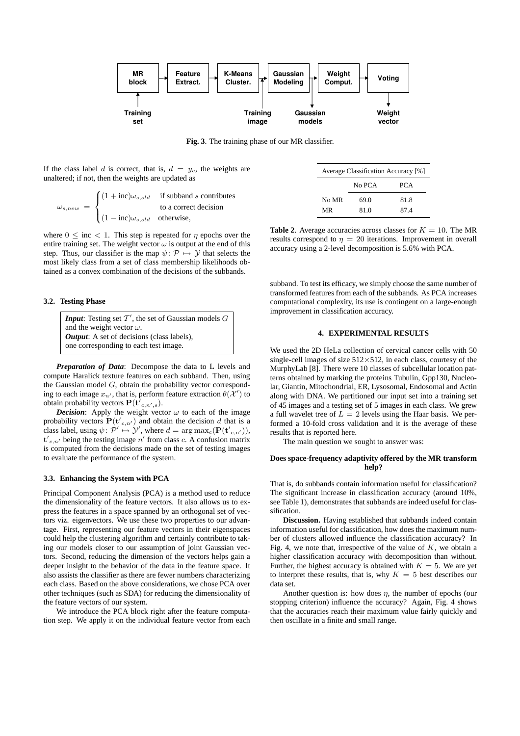

**Fig. 3**. The training phase of our MR classifier.

If the class label d is correct, that is,  $d = y_c$ , the weights are unaltered; if not, then the weights are updated as

$$
\omega_{s,new} = \begin{cases}\n(1 + \text{inc})\omega_{s,old} & \text{if subband } s \text{ contributes} \\
\text{to a correct decision} \\
(1 - \text{inc})\omega_{s,old} & \text{otherwise,} \n\end{cases}
$$

where  $0 \leq inc \leq 1$ . This step is repeated for  $\eta$  epochs over the entire training set. The weight vector  $\omega$  is output at the end of this step. Thus, our classifier is the map  $\psi \colon \mathcal{P} \mapsto \mathcal{Y}$  that selects the most likely class from a set of class membership likelihoods obtained as a convex combination of the decisions of the subbands.

## **3.2. Testing Phase**

**Input:** Testing set  $T'$ , the set of Gaussian models  $G$ and the weight vector  $\omega$ . *Output*: A set of decisions (class labels), one corresponding to each test image.

*Preparation of Data*: Decompose the data to L levels and compute Haralick texture features on each subband. Then, using the Gaussian model  $G$ , obtain the probability vector corresponding to each image  $x_{n'}$ , that is, perform feature extraction  $\theta(\mathcal{X}')$  to obtain probability vectors  ${\bf P}({\bf t}_{c,n',s}^{\dagger}).$ 

*Decision*: Apply the weight vector  $\omega$  to each of the image probability vectors  $\mathbf{P}(\mathbf{t'}_{c,n'})$  and obtain the decision d that is a class label, using  $\psi \colon \mathcal{P}' \mapsto \mathcal{Y}'$ , where  $d = \arg \max_{\mathbf{c}} (\mathbf{P}(\mathbf{t'}_{\mathbf{c},\mathbf{n'}}))$ ,  $t'_{c,n'}$  being the testing image n' from class c. A confusion matrix is computed from the decisions made on the set of testing images to evaluate the performance of the system.

## **3.3. Enhancing the System with PCA**

Principal Component Analysis (PCA) is a method used to reduce the dimensionality of the feature vectors. It also allows us to express the features in a space spanned by an orthogonal set of vectors viz. eigenvectors. We use these two properties to our advantage. First, representing our feature vectors in their eigenspaces could help the clustering algorithm and certainly contribute to taking our models closer to our assumption of joint Gaussian vectors. Second, reducing the dimension of the vectors helps gain a deeper insight to the behavior of the data in the feature space. It also assists the classifier as there are fewer numbers characterizing each class. Based on the above considerations, we chose PCA over other techniques (such as SDA) for reducing the dimensionality of the feature vectors of our system.

We introduce the PCA block right after the feature computation step. We apply it on the individual feature vector from each

| Average Classification Accuracy [%] |        |            |  |  |  |  |  |  |
|-------------------------------------|--------|------------|--|--|--|--|--|--|
|                                     | No PCA | <b>PCA</b> |  |  |  |  |  |  |
| No MR                               | 69.0   | 81.8       |  |  |  |  |  |  |
| MR                                  | 81.0   | 874        |  |  |  |  |  |  |

**Table 2.** Average accuracies across classes for  $K = 10$ . The MR results correspond to  $\eta = 20$  iterations. Improvement in overall accuracy using a 2-level decomposition is 5.6% with PCA.

subband. To test its efficacy, we simply choose the same number of transformed features from each of the subbands. As PCA increases computational complexity, its use is contingent on a large-enough improvement in classification accuracy.

#### **4. EXPERIMENTAL RESULTS**

We used the 2D HeLa collection of cervical cancer cells with 50 single-cell images of size  $512\times512$ , in each class, courtesy of the MurphyLab [8]. There were 10 classes of subcellular location patterns obtained by marking the proteins Tubulin, Gpp130, Nucleolar, Giantin, Mitochondrial, ER, Lysosomal, Endosomal and Actin along with DNA. We partitioned our input set into a training set of 45 images and a testing set of 5 images in each class. We grew a full wavelet tree of  $L = 2$  levels using the Haar basis. We performed a 10-fold cross validation and it is the average of these results that is reported here.

The main question we sought to answer was:

## **Does space-frequency adaptivity offered by the MR transform help?**

That is, do subbands contain information useful for classification? The significant increase in classification accuracy (around 10%, see Table 1), demonstrates that subbands are indeed useful for classification.

**Discussion.** Having established that subbands indeed contain information useful for classification, how does the maximum number of clusters allowed influence the classification accuracy? In Fig. 4, we note that, irrespective of the value of  $K$ , we obtain a higher classification accuracy with decomposition than without. Further, the highest accuracy is obtained with  $K = 5$ . We are yet to interpret these results, that is, why  $K = 5$  best describes our data set.

Another question is: how does  $\eta$ , the number of epochs (our stopping criterion) influence the accuracy? Again, Fig. 4 shows that the accuracies reach their maximum value fairly quickly and then oscillate in a finite and small range.